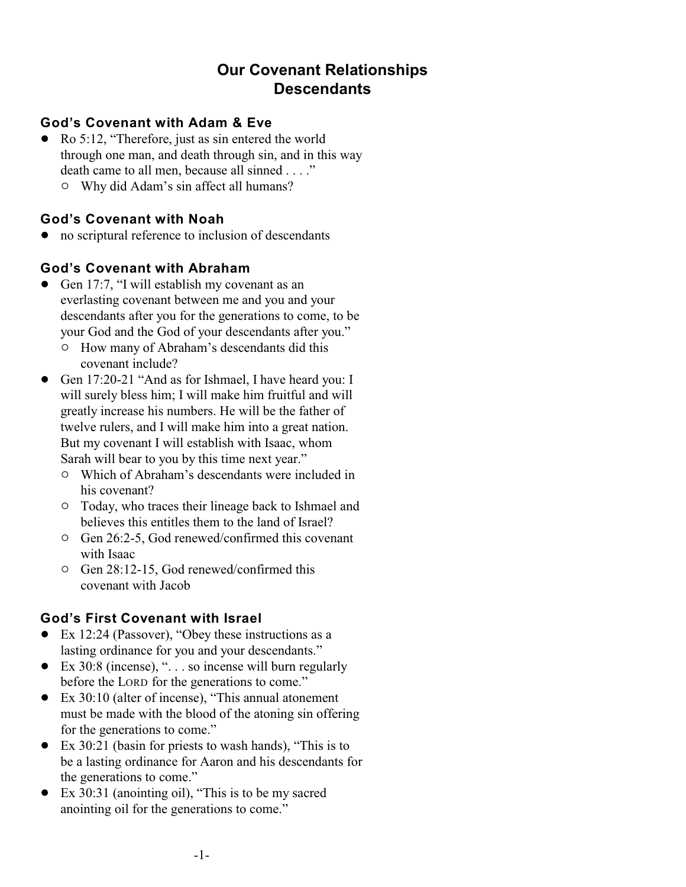# **Our Covenant Relationships Descendants**

#### **God's Covenant with Adam & Eve**

- Ro 5:12, "Therefore, just as sin entered the world through one man, and death through sin, and in this way death came to all men, because all sinned . . . ."
	- $\circ$  Why did Adam's sin affect all humans?

#### **God's Covenant with Noah**

• no scriptural reference to inclusion of descendants

### **God's Covenant with Abraham**

- Gen 17:7, "I will establish my covenant as an everlasting covenant between me and you and your descendants after you for the generations to come, to be your God and the God of your descendants after you."
	- <sup>o</sup> How many of Abraham's descendants did this covenant include?
- Gen 17:20-21 "And as for Ishmael, I have heard you: I will surely bless him; I will make him fruitful and will greatly increase his numbers. He will be the father of twelve rulers, and I will make him into a great nation. But my covenant I will establish with Isaac, whom Sarah will bear to you by this time next year."
	- $\circ$  Which of Abraham's descendants were included in his covenant?
	- $\circ$  Today, who traces their lineage back to Ishmael and believes this entitles them to the land of Israel?
	- $\circ$  Gen 26:2-5, God renewed/confirmed this covenant with Isaac
	- $\circ$  Gen 28:12-15, God renewed/confirmed this covenant with Jacob

### **God's First Covenant with Israel**

- Ex 12:24 (Passover), "Obey these instructions as a lasting ordinance for you and your descendants."
- $\bullet$  Ex 30:8 (incense), "... so incense will burn regularly before the LORD for the generations to come."
- ! Ex 30:10 (alter of incense), "This annual atonement must be made with the blood of the atoning sin offering for the generations to come."
- $\bullet$  Ex 30:21 (basin for priests to wash hands), "This is to be a lasting ordinance for Aaron and his descendants for the generations to come."
- Ex 30:31 (anointing oil), "This is to be my sacred anointing oil for the generations to come."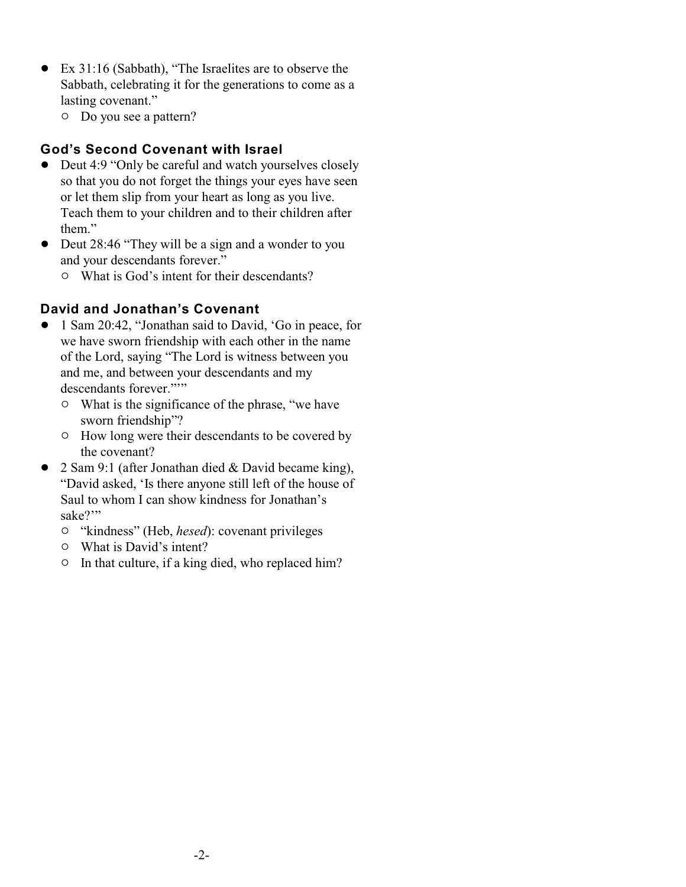- Ex 31:16 (Sabbath), "The Israelites are to observe the Sabbath, celebrating it for the generations to come as a lasting covenant."
	- $\circ$  Do you see a pattern?

#### **God's Second Covenant with Israel**

- Deut 4:9 "Only be careful and watch yourselves closely so that you do not forget the things your eyes have seen or let them slip from your heart as long as you live. Teach them to your children and to their children after them."
- Deut 28:46 "They will be a sign and a wonder to you and your descendants forever."
	- $\circ$  What is God's intent for their descendants?

### **David and Jonathan's Covenant**

- ! 1 Sam 20:42, "Jonathan said to David, 'Go in peace, for we have sworn friendship with each other in the name of the Lord, saying "The Lord is witness between you and me, and between your descendants and my descendants forever."""
	- What is the significance of the phrase, "we have sworn friendship"?
	- $\circ$  How long were their descendants to be covered by the covenant?
- 2 Sam 9:1 (after Jonathan died & David became king), "David asked, 'Is there anyone still left of the house of Saul to whom I can show kindness for Jonathan's sake?"
	- <sup>o</sup> "kindness" (Heb, *hesed*): covenant privileges
	- $\circ$  What is David's intent?
	- $\circ$  In that culture, if a king died, who replaced him?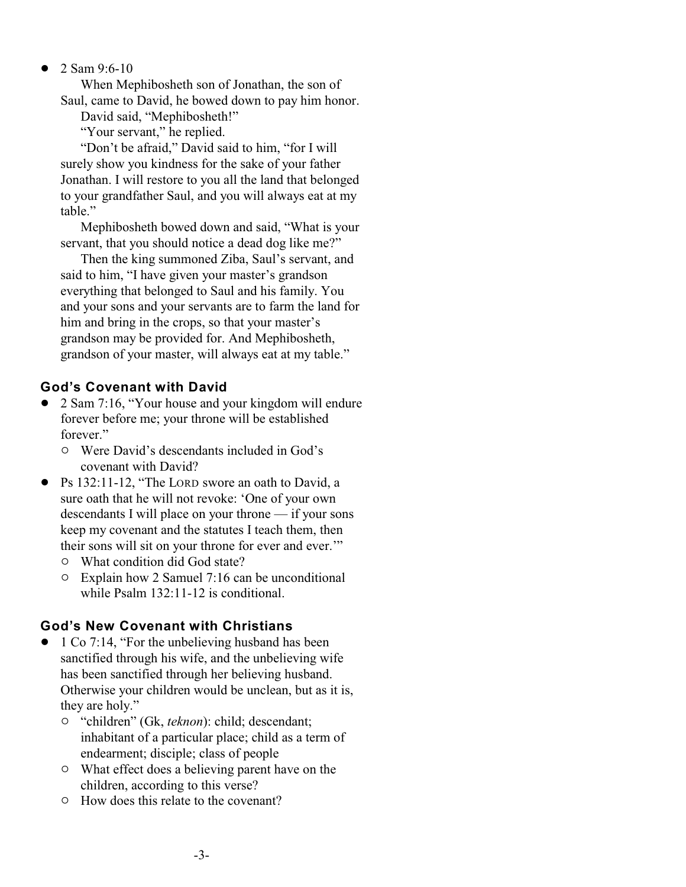2 Sam 9:6-10

When Mephibosheth son of Jonathan, the son of Saul, came to David, he bowed down to pay him honor.

David said, "Mephibosheth!"

"Your servant," he replied.

"Don't be afraid," David said to him, "for I will surely show you kindness for the sake of your father Jonathan. I will restore to you all the land that belonged to your grandfather Saul, and you will always eat at my table."

Mephibosheth bowed down and said, "What is your servant, that you should notice a dead dog like me?"

Then the king summoned Ziba, Saul's servant, and said to him, "I have given your master's grandson everything that belonged to Saul and his family. You and your sons and your servants are to farm the land for him and bring in the crops, so that your master's grandson may be provided for. And Mephibosheth, grandson of your master, will always eat at my table."

# **God's Covenant with David**

- 2 Sam 7:16, "Your house and your kingdom will endure forever before me; your throne will be established forever."
	- $\circ$  Were David's descendants included in God's covenant with David?
- Ps 132:11-12, "The LORD swore an oath to David, a sure oath that he will not revoke: 'One of your own descendants I will place on your throne — if your sons keep my covenant and the statutes I teach them, then their sons will sit on your throne for ever and ever.'"
	- $\circ$  What condition did God state?
	- $\circ$  Explain how 2 Samuel 7:16 can be unconditional while Psalm 132:11-12 is conditional.

# **God's New Covenant with Christians**

- 1 Co 7:14, "For the unbelieving husband has been sanctified through his wife, and the unbelieving wife has been sanctified through her believing husband. Otherwise your children would be unclean, but as it is, they are holy."
	- " "children" (Gk, *teknon*): child; descendant; inhabitant of a particular place; child as a term of endearment; disciple; class of people
	- $\circ$  What effect does a believing parent have on the children, according to this verse?
	- $\circ$  How does this relate to the covenant?